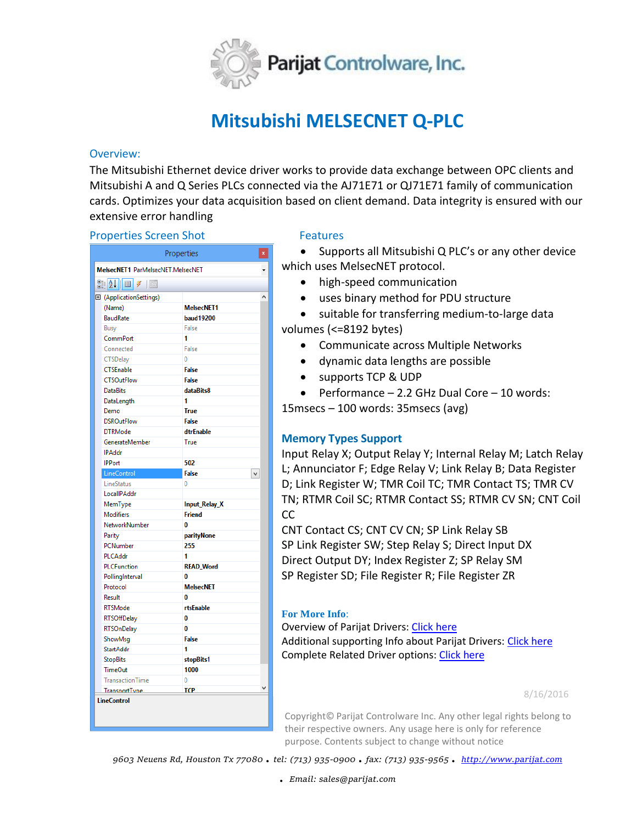

# **Mitsubishi MELSECNET Q-PLC**

## Overview:

The Mitsubishi Ethernet device driver works to provide data exchange between OPC clients and Mitsubishi A and Q Series PLCs connected via the AJ71E71 or QJ71E71 family of communication cards. Optimizes your data acquisition based on client demand. Data integrity is ensured with our extensive error handling

### **Properties Screen Shot Features**

| Properties                                                            |                      | x                 |  |
|-----------------------------------------------------------------------|----------------------|-------------------|--|
| MelsecNET1 ParMelsecNET.MelsecNET                                     |                      |                   |  |
| $\frac{1}{2}$ $\frac{1}{2}$ $\frac{1}{2}$ $\frac{1}{2}$ $\frac{1}{2}$ |                      |                   |  |
| 田 (ApplicationSettings)                                               |                      |                   |  |
|                                                                       | (Name)               | <b>MelsecNET1</b> |  |
|                                                                       | <b>BaudRate</b>      | <b>baud19200</b>  |  |
|                                                                       | Busy                 | False             |  |
|                                                                       | CommPort             | 1                 |  |
|                                                                       | Connected            | False             |  |
|                                                                       | CTSDelay             | $\mathbf{0}$      |  |
|                                                                       | CTSEnable            | <b>False</b>      |  |
|                                                                       | <b>CTSOutFlow</b>    | <b>False</b>      |  |
|                                                                       | <b>DataBits</b>      | dataBits8         |  |
|                                                                       | DataLength           | 1                 |  |
|                                                                       | Demo                 | <b>True</b>       |  |
|                                                                       | <b>DSROutFlow</b>    | False             |  |
|                                                                       | <b>DTRMode</b>       | dtrEnable         |  |
|                                                                       | GenerateMember       | True              |  |
|                                                                       | <b>IPAddr</b>        |                   |  |
|                                                                       | <b>IPPort</b>        | 502               |  |
|                                                                       | LineControl          | <b>False</b><br>v |  |
|                                                                       | LineStatus           | 0                 |  |
|                                                                       | LocallPAddr          |                   |  |
|                                                                       | MemType              | Input_Relay_X     |  |
|                                                                       | <b>Modifiers</b>     | <b>Friend</b>     |  |
|                                                                       | NetworkNumber        | 0                 |  |
|                                                                       | Parity               | parityNone        |  |
|                                                                       | PCNumber             | 255               |  |
|                                                                       | PLCAddr              | 1                 |  |
|                                                                       | <b>PLCFunction</b>   | <b>READ_Word</b>  |  |
|                                                                       | PollingInterval      | 0                 |  |
|                                                                       | Protocol             | <b>MelsecNET</b>  |  |
|                                                                       | Result               | 0                 |  |
|                                                                       | <b>RTSMode</b>       | rtsEnable         |  |
|                                                                       | <b>RTSOffDelay</b>   | 0                 |  |
|                                                                       | <b>RTSOnDelay</b>    | 0                 |  |
|                                                                       | ShowMsg              | <b>False</b>      |  |
|                                                                       | StartAddr            | 1                 |  |
|                                                                       | <b>StopBits</b>      | stopBits1         |  |
|                                                                       | <b>TimeOut</b>       | 1000              |  |
|                                                                       | TransactionTime      | 0                 |  |
|                                                                       | <b>TransportTvne</b> | TCP               |  |
| <b>LineControl</b>                                                    |                      |                   |  |
|                                                                       |                      |                   |  |

• Supports all Mitsubishi Q PLC's or any other device which uses MelsecNET protocol.

- high-speed communication
- uses binary method for PDU structure

 suitable for transferring medium-to-large data volumes (<=8192 bytes)

- Communicate across Multiple Networks
- dynamic data lengths are possible
- supports TCP & UDP

 $\bullet$  Performance – 2.2 GHz Dual Core – 10 words:

15msecs – 100 words: 35msecs (avg)

# **Memory Types Support**

Input Relay X; Output Relay Y; Internal Relay M; Latch Relay L; Annunciator F; Edge Relay V; Link Relay B; Data Register D; Link Register W; TMR Coil TC; TMR Contact TS; TMR CV TN; RTMR Coil SC; RTMR Contact SS; RTMR CV SN; CNT Coil CC

CNT Contact CS; CNT CV CN; SP Link Relay SB SP Link Register SW; Step Relay S; Direct Input DX Direct Output DY; Index Register Z; SP Relay SM SP Register SD; File Register R; File Register ZR

# **For More Info**:

Overview of Parijat Drivers: [Click here](http://controlsystemtools.com/Upload/Resource/635429005960035932.docx) Additional supporting Info about Parijat Drivers[: Click here](http://controlsystemtools.com/Upload/Resource/635429008180653804.doc) Complete Related Driver options: [Click here](http://controlsystemtools.com/controlsystemtools/Home/Resources/DriverReport)

8/16/2016

Copyright© Parijat Controlware Inc. Any other legal rights belong to their respective owners. Any usage here is only for reference purpose. Contents subject to change without notice

*9603 Neuens Rd, Houston Tx 77080 . tel: (713) 935-0900 . fax: (713) 935-9565 . [http://www.parijat.com](http://www.parijat.com/)*